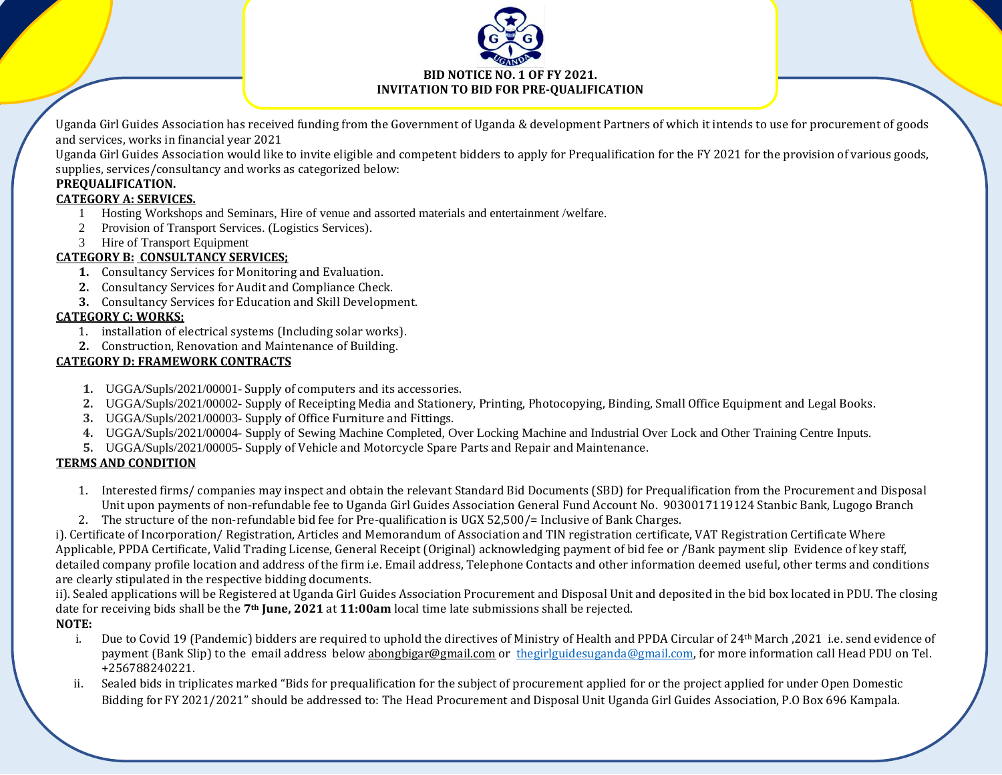

Uganda Girl Guides Association has received funding from the Government of Uganda & development Partners of which it intends to use for procurement of goods and services, works in financial year 2021

Uganda Girl Guides Association would like to invite eligible and competent bidders to apply for Prequalification for the FY 2021 for the provision of various goods, supplies, services/consultancy and works as categorized below:

## **PREQUALIFICATION.**

### **CATEGORY A: SERVICES.**

- 1 Hosting Workshops and Seminars, Hire of venue and assorted materials and entertainment /welfare.
- 2 Provision of Transport Services. (Logistics Services).
- 3 Hire of Transport Equipment

### **CATEGORY B: CONSULTANCY SERVICES;**

- **1.** Consultancy Services for Monitoring and Evaluation.
- **2.** Consultancy Services for Audit and Compliance Check.
- **3.** Consultancy Services for Education and Skill Development.

### **CATEGORY C: WORKS;**

- 1. installation of electrical systems (Including solar works).
- **2.** Construction, Renovation and Maintenance of Building.

### **CATEGORY D: FRAMEWORK CONTRACTS**

- **1.** UGGA/Supls/2021/00001- Supply of computers and its accessories.
- **2.** UGGA/Supls/2021/00002- Supply of Receipting Media and Stationery, Printing, Photocopying, Binding, Small Office Equipment and Legal Books.
- **3.** UGGA/Supls/2021/00003- Supply of Office Furniture and Fittings.
- **4.** UGGA/Supls/2021/00004- Supply of Sewing Machine Completed, Over Locking Machine and Industrial Over Lock and Other Training Centre Inputs.
- **5.** UGGA/Supls/2021/00005- Supply of Vehicle and Motorcycle Spare Parts and Repair and Maintenance.

## **TERMS AND CONDITION**

- 1. Interested firms/ companies may inspect and obtain the relevant Standard Bid Documents (SBD) for Prequalification from the Procurement and Disposal Unit upon payments of non-refundable fee to Uganda Girl Guides Association General Fund Account No. 9030017119124 Stanbic Bank, Lugogo Branch
- 2. The structure of the non-refundable bid fee for Pre-qualification is UGX 52,500/= Inclusive of Bank Charges.

i). Certificate of Incorporation/ Registration, Articles and Memorandum of Association and TIN registration certificate, VAT Registration Certificate Where Applicable, PPDA Certificate, Valid Trading License, General Receipt (Original) acknowledging payment of bid fee or /Bank payment slip Evidence of key staff, detailed company profile location and address of the firm i.e. Email address, Telephone Contacts and other information deemed useful, other terms and conditions are clearly stipulated in the respective bidding documents.

ii). Sealed applications will be Registered at Uganda Girl Guides Association Procurement and Disposal Unit and deposited in the bid box located in PDU. The closing date for receiving bids shall be the **7th June, 2021** at **11:00am** local time late submissions shall be rejected.

## **NOTE:**

- i. Due to Covid 19 (Pandemic) bidders are required to uphold the directives of Ministry of Health and PPDA Circular of 24<sup>th</sup> March ,2021 i.e. send evidence of payment (Bank Slip) to the email address below [abongbigar@gmail.com](mailto:abongbigar@gmail.com) or [thegirlguidesuganda@gmail.com,](mailto:thegirlguidesuganda@gmail.com) for more information call Head PDU on Tel. +256788240221.
- ii. Sealed bids in triplicates marked "Bids for prequalification for the subject of procurement applied for or the project applied for under Open Domestic Bidding for FY 2021/2021" should be addressed to: The Head Procurement and Disposal Unit Uganda Girl Guides Association, P.O Box 696 Kampala.